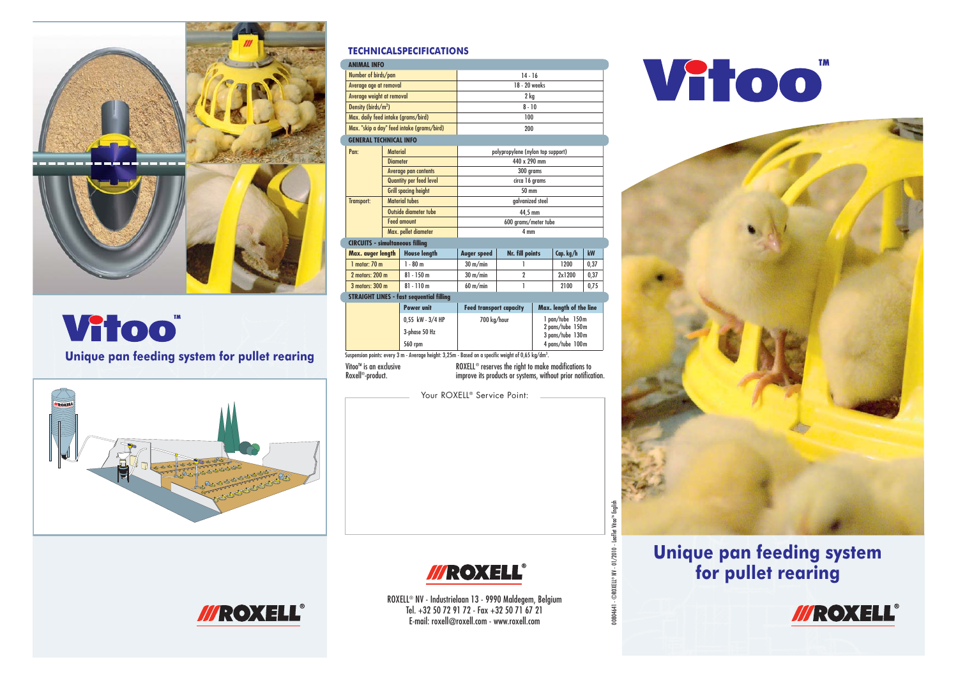

## **Vitoo**"

Unique pan feeding system for pullet rearing



#### *TECHNICALSPECIFICATIONS*

| <b>ANIMAL INFO</b>                         |                             |                                                                                                                |                                                                                                                                 |                  |                                                         |           |      |
|--------------------------------------------|-----------------------------|----------------------------------------------------------------------------------------------------------------|---------------------------------------------------------------------------------------------------------------------------------|------------------|---------------------------------------------------------|-----------|------|
| Number of birds/pan                        |                             |                                                                                                                | $14 - 16$                                                                                                                       |                  |                                                         |           |      |
| Average age at removal                     |                             |                                                                                                                | 18 - 20 weeks                                                                                                                   |                  |                                                         |           |      |
| Average weight at removal                  |                             |                                                                                                                | 2 kg                                                                                                                            |                  |                                                         |           |      |
| Density (birds/m <sup>2</sup> )            |                             |                                                                                                                | $8 - 10$                                                                                                                        |                  |                                                         |           |      |
| Max. daily feed intake (grams/bird)        |                             |                                                                                                                | 100                                                                                                                             |                  |                                                         |           |      |
| Max. "skip a day" feed intake (grams/bird) |                             |                                                                                                                | 200                                                                                                                             |                  |                                                         |           |      |
| <b>GENERAL TECHNICAL INFO</b>              |                             |                                                                                                                |                                                                                                                                 |                  |                                                         |           |      |
| Pan:                                       | <b>Material</b>             |                                                                                                                | polypropylene (nylon top support)                                                                                               |                  |                                                         |           |      |
|                                            | <b>Diameter</b>             |                                                                                                                | 440 x 290 mm                                                                                                                    |                  |                                                         |           |      |
|                                            | <b>Average pan contents</b> |                                                                                                                | 300 grams                                                                                                                       |                  |                                                         |           |      |
|                                            | Quantity per feed level     |                                                                                                                | circa 16 grams                                                                                                                  |                  |                                                         |           |      |
|                                            | <b>Grill spacing height</b> |                                                                                                                | 50 mm                                                                                                                           |                  |                                                         |           |      |
| <b>Transport:</b>                          | <b>Material tubes</b>       |                                                                                                                | galvanized steel                                                                                                                |                  |                                                         |           |      |
|                                            | Outside diameter tube       |                                                                                                                | 44,5 mm                                                                                                                         |                  |                                                         |           |      |
|                                            | <b>Feed amount</b>          |                                                                                                                | 600 grams/meter tube                                                                                                            |                  |                                                         |           |      |
|                                            | Max. pellet diameter        |                                                                                                                | 4 mm                                                                                                                            |                  |                                                         |           |      |
| <b>CIRCUITS - simultaneous filling</b>     |                             |                                                                                                                |                                                                                                                                 |                  |                                                         |           |      |
| Max. avger length                          |                             | <b>House length</b>                                                                                            | <b>Auger speed</b>                                                                                                              | Nr. fill points  |                                                         | Cap. kg/h | kW   |
| $1$ motor: $70$ m                          |                             | $1 - 80 m$                                                                                                     | $30 \text{ m/min}$                                                                                                              | 1                |                                                         | 1200      | 0,37 |
| 2 motors: 200 m                            |                             | $81 - 150$ m                                                                                                   | $30 \text{ m/min}$                                                                                                              | $\overline{2}$   |                                                         | 2x1200    | 0,37 |
| 3 motors: 300 m                            |                             | $81 - 110m$                                                                                                    | $60 \text{ m/min}$                                                                                                              | 1                |                                                         | 2100      | 0,75 |
|                                            |                             | <b>STRAIGHT LINES - fast sequential filling</b>                                                                |                                                                                                                                 |                  |                                                         |           |      |
|                                            |                             | <b>Power unit</b>                                                                                              | <b>Feed transport capacity</b>                                                                                                  |                  | Max. length of the line                                 |           |      |
|                                            |                             | 0,55 kW - 3/4 HP                                                                                               | 700 kg/hour                                                                                                                     |                  | 1 pan/tube 150m<br>2 pans/tube 150m<br>3 pans/tube 130m |           |      |
|                                            |                             | 3-phase 50 Hz                                                                                                  |                                                                                                                                 |                  |                                                         |           |      |
|                                            |                             | 560 rpm                                                                                                        |                                                                                                                                 | 4 pans/tube 100m |                                                         |           |      |
|                                            |                             | Suspension points: every 3 m - Average height: 3,25m - Based on a specific weight of 0,65 kg/dm <sup>3</sup> . |                                                                                                                                 |                  |                                                         |           |      |
| Vitoo™ is an exclusive                     |                             |                                                                                                                |                                                                                                                                 |                  |                                                         |           |      |
| Roxell <sup>®</sup> -product.              |                             |                                                                                                                | ROXELL <sup>®</sup> reserves the right to make modifications to<br>improve its products or systems, without prior notification. |                  |                                                         |           |      |
|                                            |                             |                                                                                                                |                                                                                                                                 |                  |                                                         |           |      |
|                                            |                             |                                                                                                                | Your ROXELL <sup>®</sup> Service Point:                                                                                         |                  |                                                         |           |      |

Vioo



### **Unique pan feeding system for pullet rearing**



00804641 - ©ROXELL 00804641 - ©ROXELL® NV - 01/2010 - Leaflet Vitoo™ English ® NV - 01/2010 - Leaflet Vitoo™ English





ROXELL® NV - Industrielaan 13 - 9990 Maldegem, Belgium Tel. +32 50 72 91 72 - Fax +32 50 71 67 21 E-mail: roxell@roxell.com - www.roxell.com